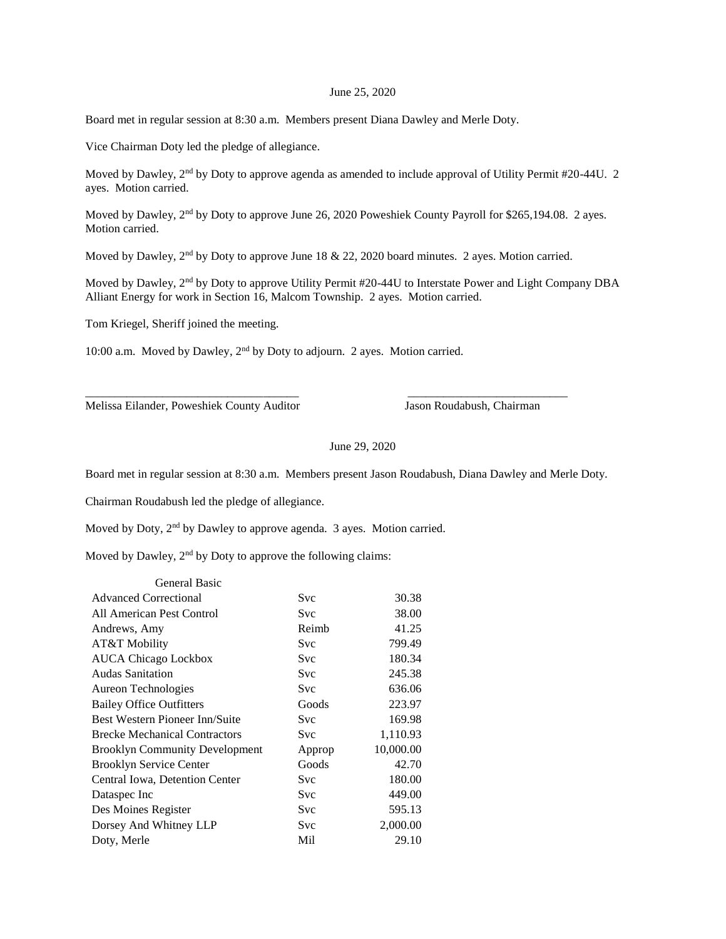## June 25, 2020

Board met in regular session at 8:30 a.m. Members present Diana Dawley and Merle Doty.

Vice Chairman Doty led the pledge of allegiance.

Moved by Dawley,  $2<sup>nd</sup>$  by Doty to approve agenda as amended to include approval of Utility Permit #20-44U. 2 ayes. Motion carried.

Moved by Dawley, 2<sup>nd</sup> by Doty to approve June 26, 2020 Poweshiek County Payroll for \$265,194.08. 2 ayes. Motion carried.

Moved by Dawley,  $2<sup>nd</sup>$  by Doty to approve June 18 & 22, 2020 board minutes. 2 ayes. Motion carried.

\_\_\_\_\_\_\_\_\_\_\_\_\_\_\_\_\_\_\_\_\_\_\_\_\_\_\_\_\_\_\_\_\_\_\_\_ \_\_\_\_\_\_\_\_\_\_\_\_\_\_\_\_\_\_\_\_\_\_\_\_\_\_\_

Moved by Dawley, 2nd by Doty to approve Utility Permit #20-44U to Interstate Power and Light Company DBA Alliant Energy for work in Section 16, Malcom Township. 2 ayes. Motion carried.

Tom Kriegel, Sheriff joined the meeting.

10:00 a.m. Moved by Dawley, 2nd by Doty to adjourn. 2 ayes. Motion carried.

Melissa Eilander, Poweshiek County Auditor Jason Roudabush, Chairman

June 29, 2020

Board met in regular session at 8:30 a.m. Members present Jason Roudabush, Diana Dawley and Merle Doty.

Chairman Roudabush led the pledge of allegiance.

Moved by Doty, 2nd by Dawley to approve agenda. 3 ayes. Motion carried.

Moved by Dawley,  $2<sup>nd</sup>$  by Doty to approve the following claims:

| General Basic                         |            |           |
|---------------------------------------|------------|-----------|
| <b>Advanced Correctional</b>          | Svc        | 30.38     |
| All American Pest Control             | <b>Svc</b> | 38.00     |
| Andrews, Amy                          | Reimb      | 41.25     |
| AT&T Mobility                         | <b>Svc</b> | 799.49    |
| <b>AUCA Chicago Lockbox</b>           | Svc        | 180.34    |
| Audas Sanitation                      | <b>Svc</b> | 245.38    |
| Aureon Technologies                   | <b>Svc</b> | 636.06    |
| <b>Bailey Office Outfitters</b>       | Goods      | 223.97    |
| Best Western Pioneer Inn/Suite        | <b>Svc</b> | 169.98    |
| <b>Brecke Mechanical Contractors</b>  | <b>Svc</b> | 1,110.93  |
| <b>Brooklyn Community Development</b> | Approp     | 10,000.00 |
| <b>Brooklyn Service Center</b>        | Goods      | 42.70     |
| Central Iowa, Detention Center        | <b>Svc</b> | 180.00    |
| Dataspec Inc                          | <b>Svc</b> | 449.00    |
| Des Moines Register                   | Svc        | 595.13    |
| Dorsey And Whitney LLP                | <b>Svc</b> | 2,000.00  |
| Doty, Merle                           | Mil        | 29.10     |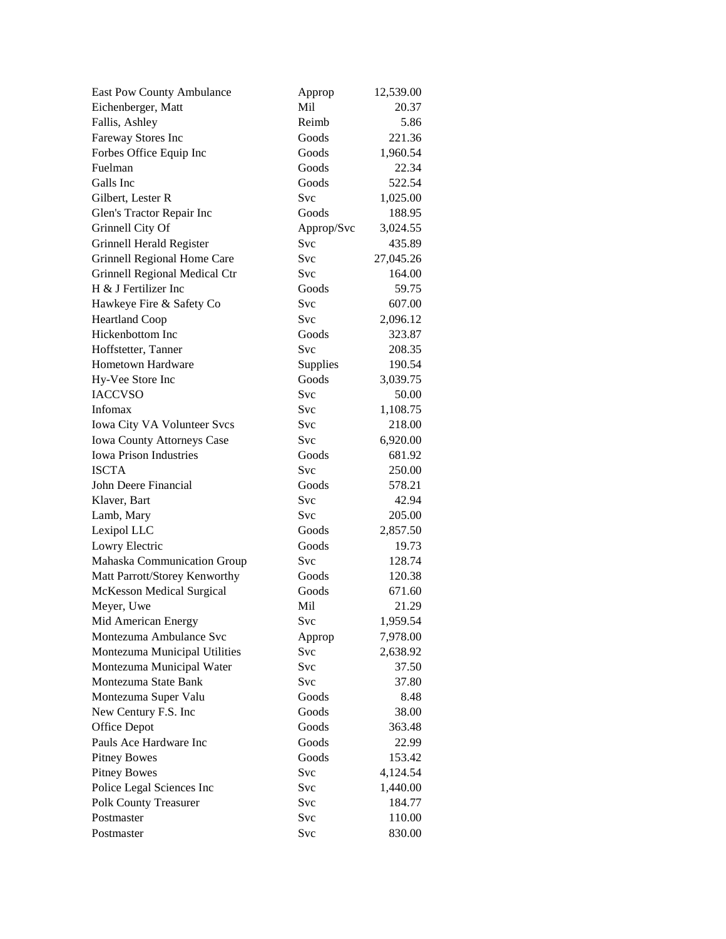| <b>East Pow County Ambulance</b>  | Approp     | 12,539.00       |
|-----------------------------------|------------|-----------------|
| Eichenberger, Matt                | Mil        | 20.37           |
| Fallis, Ashley                    | Reimb      | 5.86            |
| Fareway Stores Inc                | Goods      | 221.36          |
| Forbes Office Equip Inc           | Goods      | 1,960.54        |
| Fuelman                           | Goods      | 22.34           |
| Galls Inc                         | Goods      | 522.54          |
| Gilbert, Lester R                 | Svc        | 1,025.00        |
| Glen's Tractor Repair Inc         | Goods      | 188.95          |
| Grinnell City Of                  | Approp/Svc | 3,024.55        |
| Grinnell Herald Register          | Svc        | 435.89          |
| Grinnell Regional Home Care       | Svc        | 27,045.26       |
| Grinnell Regional Medical Ctr     | <b>Svc</b> | 164.00          |
| H & J Fertilizer Inc              | Goods      | 59.75           |
| Hawkeye Fire & Safety Co          | Svc        | 607.00          |
| <b>Heartland Coop</b>             | <b>Svc</b> | 2,096.12        |
| Hickenbottom Inc                  | Goods      | 323.87          |
| Hoffstetter, Tanner               | Svc        | 208.35          |
| <b>Hometown Hardware</b>          | Supplies   | 190.54          |
| Hy-Vee Store Inc                  | Goods      | 3,039.75        |
| <b>IACCVSO</b>                    | Svc        | 50.00           |
| Infomax                           | <b>Svc</b> | 1,108.75        |
| Iowa City VA Volunteer Svcs       | <b>Svc</b> | 218.00          |
| <b>Iowa County Attorneys Case</b> | <b>Svc</b> | 6,920.00        |
| <b>Iowa Prison Industries</b>     | Goods      | 681.92          |
| <b>ISCTA</b>                      | <b>Svc</b> | 250.00          |
| John Deere Financial              | Goods      | 578.21          |
| Klaver, Bart                      | Svc        | 42.94           |
| Lamb, Mary                        | Svc        | 205.00          |
| Lexipol LLC                       | Goods      | 2,857.50        |
| Lowry Electric                    | Goods      | 19.73           |
| Mahaska Communication Group       | <b>Svc</b> | 128.74          |
| Matt Parrott/Storey Kenworthy     | Goods      | 120.38          |
| McKesson Medical Surgical         | Goods      | 671.60          |
| Meyer, Uwe                        | Mil        | 21.29           |
| Mid American Energy               | Svc        | 1,959.54        |
| Montezuma Ambulance Svc           | Approp     | 7,978.00        |
| Montezuma Municipal Utilities     | Svc        | 2,638.92        |
| Montezuma Municipal Water         | Svc        | 37.50           |
| Montezuma State Bank              | <b>Svc</b> | 37.80           |
| Montezuma Super Valu              | Goods      | 8.48            |
| New Century F.S. Inc              | Goods      | 38.00           |
| Office Depot                      | Goods      | 363.48          |
| Pauls Ace Hardware Inc            | Goods      |                 |
| <b>Pitney Bowes</b>               | Goods      | 22.99<br>153.42 |
|                                   |            |                 |
| <b>Pitney Bowes</b>               | Svc        | 4,124.54        |
| Police Legal Sciences Inc         | Svc        | 1,440.00        |
| Polk County Treasurer             | Svc        | 184.77          |
| Postmaster                        | Svc        | 110.00          |
| Postmaster                        | Svc        | 830.00          |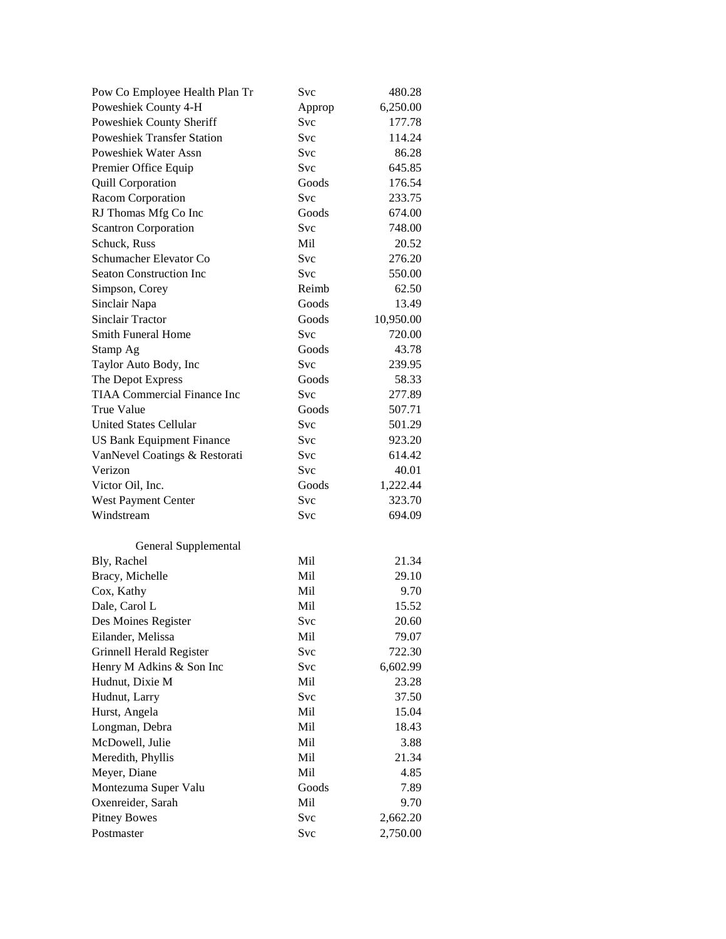| Pow Co Employee Health Plan Tr     | Svc        | 480.28    |
|------------------------------------|------------|-----------|
| Poweshiek County 4-H               | Approp     | 6,250.00  |
| Poweshiek County Sheriff           | Svc        | 177.78    |
| <b>Poweshiek Transfer Station</b>  | Svc        | 114.24    |
| <b>Poweshiek Water Assn</b>        | Svc        | 86.28     |
| Premier Office Equip               | Svc        | 645.85    |
| <b>Quill Corporation</b>           | Goods      | 176.54    |
| Racom Corporation                  | Svc        | 233.75    |
| RJ Thomas Mfg Co Inc               | Goods      | 674.00    |
| <b>Scantron Corporation</b>        | Svc        | 748.00    |
| Schuck, Russ                       | Mil        | 20.52     |
| Schumacher Elevator Co             | <b>Svc</b> | 276.20    |
| <b>Seaton Construction Inc</b>     | Svc        | 550.00    |
| Simpson, Corey                     | Reimb      | 62.50     |
| Sinclair Napa                      | Goods      | 13.49     |
| <b>Sinclair Tractor</b>            | Goods      | 10,950.00 |
| <b>Smith Funeral Home</b>          | Svc        | 720.00    |
| Stamp Ag                           | Goods      | 43.78     |
| Taylor Auto Body, Inc              | Svc        | 239.95    |
| The Depot Express                  | Goods      | 58.33     |
| <b>TIAA Commercial Finance Inc</b> | Svc        | 277.89    |
| <b>True Value</b>                  | Goods      | 507.71    |
| <b>United States Cellular</b>      | Svc        | 501.29    |
| <b>US Bank Equipment Finance</b>   | <b>Svc</b> | 923.20    |
| VanNevel Coatings & Restorati      | Svc        | 614.42    |
| Verizon                            | <b>Svc</b> | 40.01     |
| Victor Oil, Inc.                   | Goods      | 1,222.44  |
| West Payment Center                | Svc        | 323.70    |
| Windstream                         | <b>Svc</b> | 694.09    |
|                                    |            |           |
| General Supplemental               |            |           |
| Bly, Rachel                        | Mil        | 21.34     |
| Bracy, Michelle                    | Mil        | 29.10     |
| Cox, Kathy                         | Mil        | 9.70      |
| Dale, Carol L                      | Mil        | 15.52     |
| Des Moines Register                | Svc        | 20.60     |
| Eilander, Melissa                  | Mil        | 79.07     |
| Grinnell Herald Register           | Svc        | 722.30    |
| Henry M Adkins & Son Inc           | Svc        | 6,602.99  |
| Hudnut, Dixie M                    | Mil        | 23.28     |
| Hudnut, Larry                      | Svc        | 37.50     |
| Hurst, Angela                      | Mil        | 15.04     |
| Longman, Debra                     | Mil        | 18.43     |
| McDowell, Julie                    | Mil        | 3.88      |
| Meredith, Phyllis                  | Mil        | 21.34     |
| Meyer, Diane                       | Mil        | 4.85      |
| Montezuma Super Valu               | Goods      | 7.89      |
| Oxenreider, Sarah                  | Mil        | 9.70      |
| <b>Pitney Bowes</b>                | Svc        | 2,662.20  |
| Postmaster                         | Svc        | 2,750.00  |
|                                    |            |           |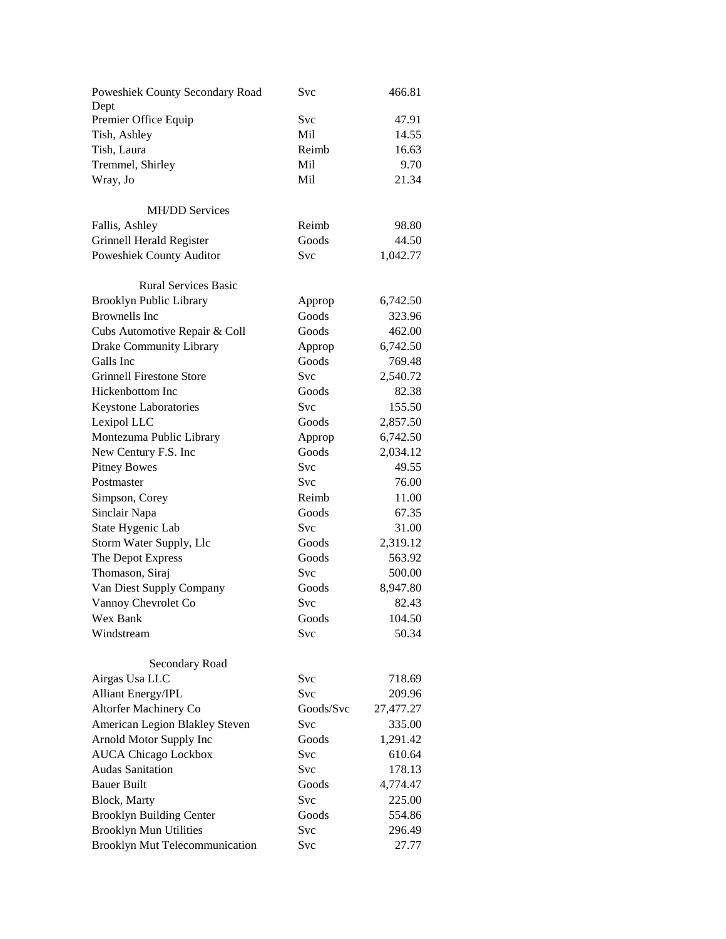| Poweshiek County Secondary Road<br>Dept | Svc        | 466.81    |
|-----------------------------------------|------------|-----------|
| Premier Office Equip                    | Svc        | 47.91     |
| Tish, Ashley                            | Mil        | 14.55     |
| Tish, Laura                             | Reimb      | 16.63     |
| Tremmel, Shirley                        | Mil        | 9.70      |
| Wray, Jo                                | Mil        | 21.34     |
|                                         |            |           |
| <b>MH/DD Services</b>                   |            |           |
| Fallis, Ashley                          | Reimb      | 98.80     |
| Grinnell Herald Register                | Goods      | 44.50     |
| Poweshiek County Auditor                | <b>Svc</b> | 1,042.77  |
| <b>Rural Services Basic</b>             |            |           |
| <b>Brooklyn Public Library</b>          | Approp     | 6,742.50  |
| <b>Brownells</b> Inc                    | Goods      | 323.96    |
| Cubs Automotive Repair & Coll           | Goods      | 462.00    |
| Drake Community Library                 | Approp     | 6,742.50  |
| Galls Inc                               | Goods      | 769.48    |
| <b>Grinnell Firestone Store</b>         | <b>Svc</b> | 2,540.72  |
| Hickenbottom Inc                        | Goods      | 82.38     |
| Keystone Laboratories                   | Svc        | 155.50    |
| Lexipol LLC                             | Goods      | 2,857.50  |
| Montezuma Public Library                | Approp     | 6,742.50  |
| New Century F.S. Inc                    | Goods      | 2,034.12  |
| <b>Pitney Bowes</b>                     | Svc        | 49.55     |
| Postmaster                              | Svc        | 76.00     |
| Simpson, Corey                          | Reimb      | 11.00     |
| Sinclair Napa                           | Goods      | 67.35     |
| State Hygenic Lab                       | Svc        | 31.00     |
| Storm Water Supply, Llc                 | Goods      | 2,319.12  |
| The Depot Express                       | Goods      | 563.92    |
| Thomason, Siraj                         | Svc        | 500.00    |
| Van Diest Supply Company                | Goods      | 8,947.80  |
| Vannoy Chevrolet Co                     | Svc        | 82.43     |
| Wex Bank                                | Goods      | 104.50    |
| Windstream                              | Svc        | 50.34     |
|                                         |            |           |
| Secondary Road                          |            |           |
| Airgas Usa LLC                          | <b>Svc</b> | 718.69    |
| <b>Alliant Energy/IPL</b>               | <b>Svc</b> | 209.96    |
| <b>Altorfer Machinery Co</b>            | Goods/Svc  | 27,477.27 |
| American Legion Blakley Steven          | Svc        | 335.00    |
| Arnold Motor Supply Inc                 | Goods      | 1,291.42  |
| <b>AUCA Chicago Lockbox</b>             | Svc        | 610.64    |
| <b>Audas Sanitation</b>                 | Svc        | 178.13    |
| <b>Bauer Built</b>                      | Goods      | 4,774.47  |
| Block, Marty                            | <b>Svc</b> | 225.00    |
| <b>Brooklyn Building Center</b>         | Goods      | 554.86    |
| <b>Brooklyn Mun Utilities</b>           | Svc        | 296.49    |
| <b>Brooklyn Mut Telecommunication</b>   | Svc        | 27.77     |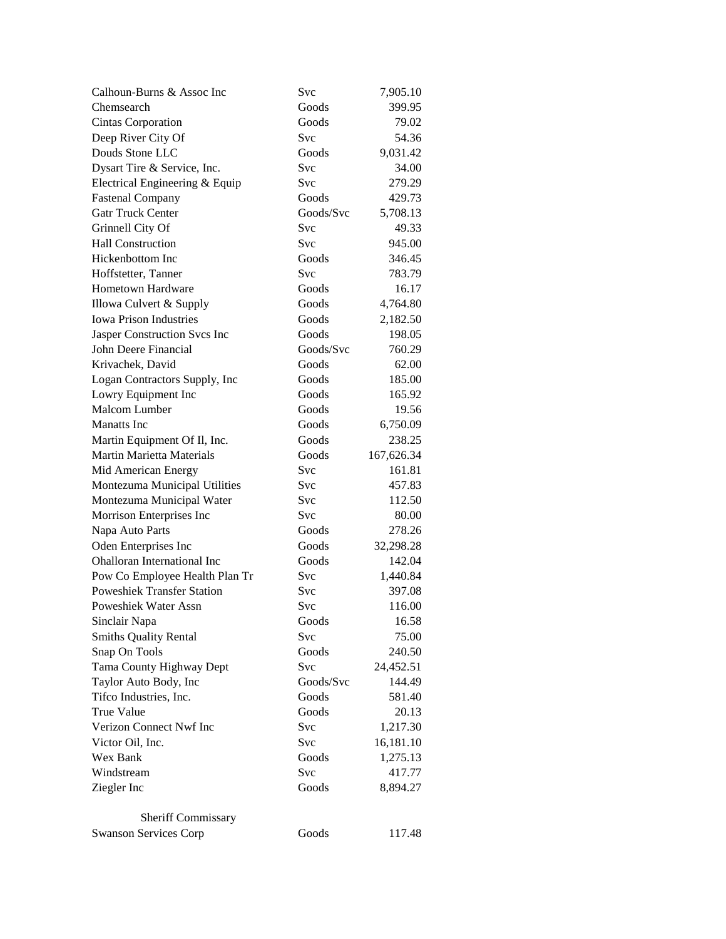| Calhoun-Burns & Assoc Inc          | <b>Svc</b> | 7,905.10   |
|------------------------------------|------------|------------|
| Chemsearch                         | Goods      | 399.95     |
| Cintas Corporation                 | Goods      | 79.02      |
| Deep River City Of                 | Svc        | 54.36      |
| Douds Stone LLC                    | Goods      | 9,031.42   |
| Dysart Tire & Service, Inc.        | <b>Svc</b> | 34.00      |
| Electrical Engineering & Equip     | Svc        | 279.29     |
| <b>Fastenal Company</b>            | Goods      | 429.73     |
| <b>Gatr Truck Center</b>           | Goods/Svc  | 5,708.13   |
| Grinnell City Of                   | Svc        | 49.33      |
| <b>Hall Construction</b>           | Svc        | 945.00     |
| Hickenbottom Inc                   | Goods      | 346.45     |
| Hoffstetter, Tanner                | Svc        | 783.79     |
| Hometown Hardware                  | Goods      | 16.17      |
| Illowa Culvert & Supply            | Goods      | 4,764.80   |
| <b>Iowa Prison Industries</b>      | Goods      | 2,182.50   |
| Jasper Construction Svcs Inc       | Goods      | 198.05     |
| John Deere Financial               | Goods/Svc  | 760.29     |
| Krivachek, David                   | Goods      | 62.00      |
| Logan Contractors Supply, Inc      | Goods      | 185.00     |
| Lowry Equipment Inc                | Goods      | 165.92     |
| Malcom Lumber                      | Goods      | 19.56      |
| <b>Manatts</b> Inc                 | Goods      | 6,750.09   |
| Martin Equipment Of Il, Inc.       | Goods      | 238.25     |
| <b>Martin Marietta Materials</b>   | Goods      | 167,626.34 |
| Mid American Energy                | Svc        | 161.81     |
| Montezuma Municipal Utilities      | Svc        | 457.83     |
| Montezuma Municipal Water          | <b>Svc</b> | 112.50     |
| Morrison Enterprises Inc           | <b>Svc</b> | 80.00      |
| Napa Auto Parts                    | Goods      | 278.26     |
| Oden Enterprises Inc               | Goods      | 32,298.28  |
| <b>Ohalloran International Inc</b> | Goods      | 142.04     |
| Pow Co Employee Health Plan Tr     | Svc        | 1,440.84   |
| <b>Poweshiek Transfer Station</b>  | Svc        | 397.08     |
| Poweshiek Water Assn               | Svc        | 116.00     |
| Sinclair Napa                      | Goods      | 16.58      |
| <b>Smiths Quality Rental</b>       | Svc        | 75.00      |
| Snap On Tools                      | Goods      | 240.50     |
| Tama County Highway Dept           | <b>Svc</b> | 24,452.51  |
| Taylor Auto Body, Inc              | Goods/Svc  | 144.49     |
| Tifco Industries, Inc.             | Goods      | 581.40     |
| <b>True Value</b>                  | Goods      | 20.13      |
| Verizon Connect Nwf Inc            | <b>Svc</b> | 1,217.30   |
| Victor Oil, Inc.                   | Svc        | 16,181.10  |
| Wex Bank                           | Goods      | 1,275.13   |
| Windstream                         |            |            |
|                                    | Svc        | 417.77     |
| Ziegler Inc                        | Goods      | 8,894.27   |
| Sheriff Commissary                 |            |            |
| <b>Swanson Services Corp</b>       | Goods      | 117.48     |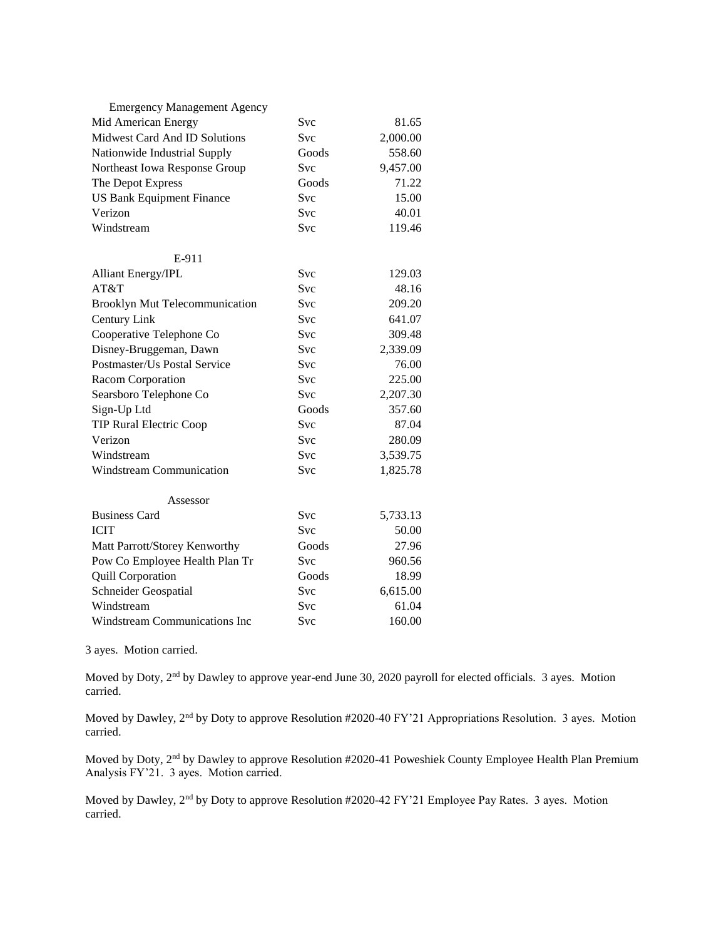| <b>Emergency Management Agency</b>    |            |          |
|---------------------------------------|------------|----------|
| Mid American Energy                   | Svc        | 81.65    |
| Midwest Card And ID Solutions         | <b>Svc</b> | 2,000.00 |
| Nationwide Industrial Supply          | Goods      | 558.60   |
| Northeast Iowa Response Group         | <b>Svc</b> | 9,457.00 |
| The Depot Express                     | Goods      | 71.22    |
| <b>US Bank Equipment Finance</b>      | Svc        | 15.00    |
| Verizon                               | Svc        | 40.01    |
| Windstream                            | <b>Svc</b> | 119.46   |
| E-911                                 |            |          |
| <b>Alliant Energy/IPL</b>             | Svc        | 129.03   |
| AT&T                                  | <b>Svc</b> | 48.16    |
| <b>Brooklyn Mut Telecommunication</b> | <b>Svc</b> | 209.20   |
| Century Link                          | <b>Svc</b> | 641.07   |
| Cooperative Telephone Co              | <b>Svc</b> | 309.48   |
| Disney-Bruggeman, Dawn                | Svc        | 2,339.09 |
| Postmaster/Us Postal Service          | <b>Svc</b> | 76.00    |
| Racom Corporation                     | <b>Svc</b> | 225.00   |
| Searsboro Telephone Co                | Svc        | 2,207.30 |
| Sign-Up Ltd                           | Goods      | 357.60   |
| <b>TIP Rural Electric Coop</b>        | Svc        | 87.04    |
| Verizon                               | <b>Svc</b> | 280.09   |
| Windstream                            | Svc        | 3,539.75 |
| <b>Windstream Communication</b>       | Svc        | 1,825.78 |
| Assessor                              |            |          |
| <b>Business Card</b>                  | <b>Svc</b> | 5,733.13 |
| <b>ICIT</b>                           | <b>Svc</b> | 50.00    |
| Matt Parrott/Storey Kenworthy         | Goods      | 27.96    |
| Pow Co Employee Health Plan Tr        | <b>Svc</b> | 960.56   |
| Quill Corporation                     | Goods      | 18.99    |
| Schneider Geospatial                  | Svc        | 6,615.00 |
| Windstream                            | Svc        | 61.04    |
| Windstream Communications Inc         | Svc        | 160.00   |

3 ayes. Motion carried.

Moved by Doty, 2nd by Dawley to approve year-end June 30, 2020 payroll for elected officials. 3 ayes. Motion carried.

Moved by Dawley, 2<sup>nd</sup> by Doty to approve Resolution #2020-40 FY'21 Appropriations Resolution. 3 ayes. Motion carried.

Moved by Doty, 2<sup>nd</sup> by Dawley to approve Resolution #2020-41 Poweshiek County Employee Health Plan Premium Analysis FY'21. 3 ayes. Motion carried.

Moved by Dawley, 2<sup>nd</sup> by Doty to approve Resolution #2020-42 FY'21 Employee Pay Rates. 3 ayes. Motion carried.